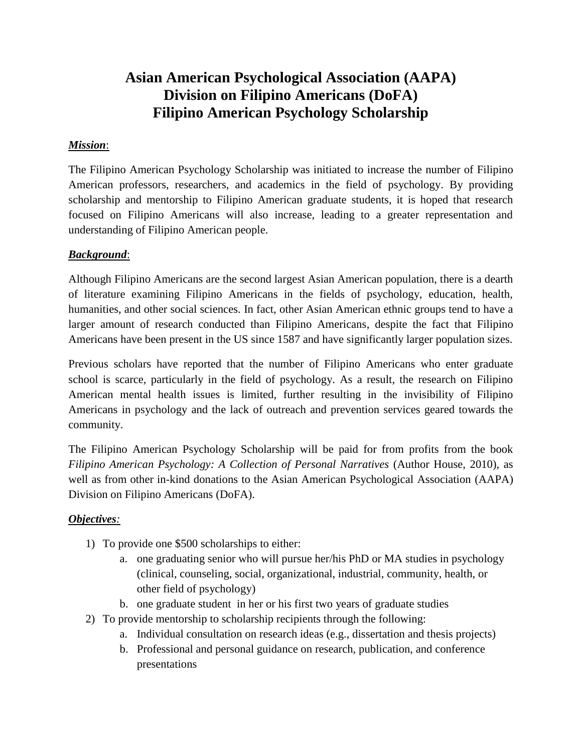# **Asian American Psychological Association (AAPA) Division on Filipino Americans (DoFA) Filipino American Psychology Scholarship**

# *Mission*:

The Filipino American Psychology Scholarship was initiated to increase the number of Filipino American professors, researchers, and academics in the field of psychology. By providing scholarship and mentorship to Filipino American graduate students, it is hoped that research focused on Filipino Americans will also increase, leading to a greater representation and understanding of Filipino American people.

# *Background*:

Although Filipino Americans are the second largest Asian American population, there is a dearth of literature examining Filipino Americans in the fields of psychology, education, health, humanities, and other social sciences. In fact, other Asian American ethnic groups tend to have a larger amount of research conducted than Filipino Americans, despite the fact that Filipino Americans have been present in the US since 1587 and have significantly larger population sizes.

Previous scholars have reported that the number of Filipino Americans who enter graduate school is scarce, particularly in the field of psychology. As a result, the research on Filipino American mental health issues is limited, further resulting in the invisibility of Filipino Americans in psychology and the lack of outreach and prevention services geared towards the community.

The Filipino American Psychology Scholarship will be paid for from profits from the book *Filipino American Psychology: A Collection of Personal Narratives* (Author House, 2010), as well as from other in-kind donations to the Asian American Psychological Association (AAPA) Division on Filipino Americans (DoFA).

#### *Objectives:*

- 1) To provide one \$500 scholarships to either:
	- a. one graduating senior who will pursue her/his PhD or MA studies in psychology (clinical, counseling, social, organizational, industrial, community, health, or other field of psychology)
	- b. one graduate student in her or his first two years of graduate studies
- 2) To provide mentorship to scholarship recipients through the following:
	- a. Individual consultation on research ideas (e.g., dissertation and thesis projects)
	- b. Professional and personal guidance on research, publication, and conference presentations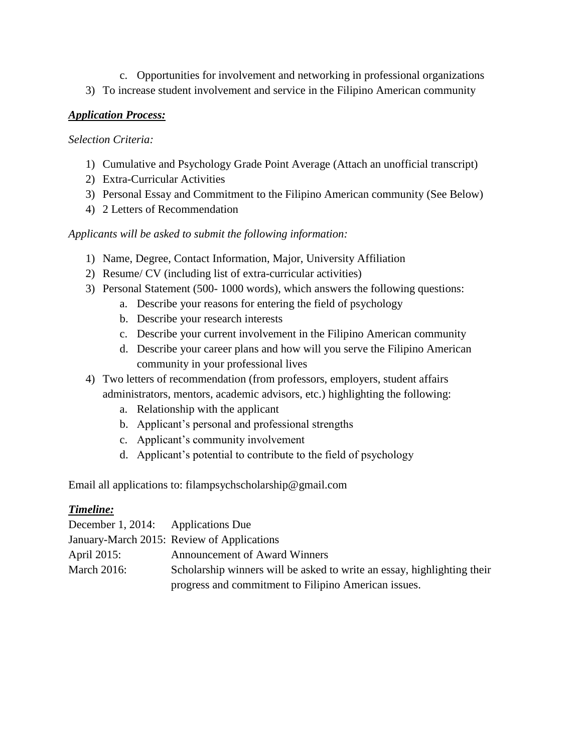- c. Opportunities for involvement and networking in professional organizations
- 3) To increase student involvement and service in the Filipino American community

#### *Application Process:*

#### *Selection Criteria:*

- 1) Cumulative and Psychology Grade Point Average (Attach an unofficial transcript)
- 2) Extra-Curricular Activities
- 3) Personal Essay and Commitment to the Filipino American community (See Below)
- 4) 2 Letters of Recommendation

# *Applicants will be asked to submit the following information:*

- 1) Name, Degree, Contact Information, Major, University Affiliation
- 2) Resume/ CV (including list of extra-curricular activities)
- 3) Personal Statement (500- 1000 words), which answers the following questions:
	- a. Describe your reasons for entering the field of psychology
	- b. Describe your research interests
	- c. Describe your current involvement in the Filipino American community
	- d. Describe your career plans and how will you serve the Filipino American community in your professional lives
- 4) Two letters of recommendation (from professors, employers, student affairs administrators, mentors, academic advisors, etc.) highlighting the following:
	- a. Relationship with the applicant
	- b. Applicant's personal and professional strengths
	- c. Applicant's community involvement
	- d. Applicant's potential to contribute to the field of psychology

Email all applications to: filampsychscholarship@gmail.com

#### *Timeline:*

| December 1, 2014: Applications Due |                                                                         |
|------------------------------------|-------------------------------------------------------------------------|
|                                    | January-March 2015: Review of Applications                              |
| April 2015:                        | <b>Announcement of Award Winners</b>                                    |
| March $2016$ :                     | Scholarship winners will be asked to write an essay, highlighting their |
|                                    | progress and commitment to Filipino American issues.                    |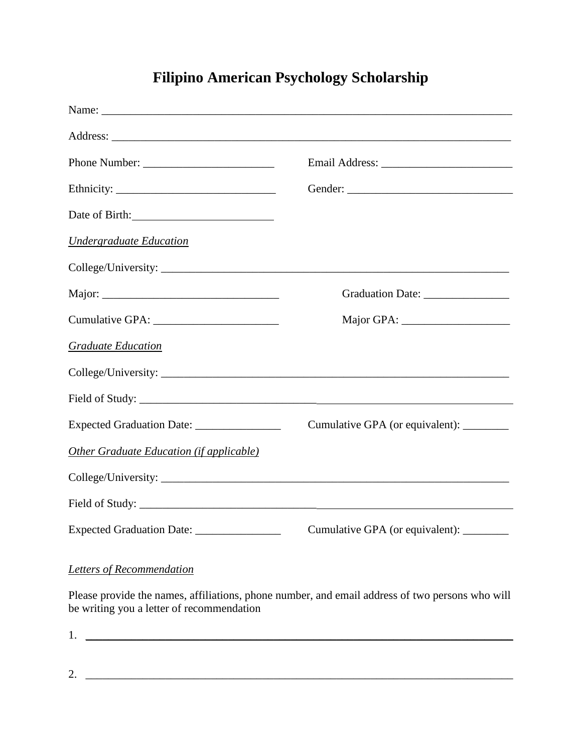# **Filipino American Psychology Scholarship**

| Date of Birth:                              |                                           |  |  |
|---------------------------------------------|-------------------------------------------|--|--|
| <b>Undergraduate Education</b>              |                                           |  |  |
|                                             |                                           |  |  |
|                                             |                                           |  |  |
|                                             |                                           |  |  |
| <b>Graduate Education</b>                   |                                           |  |  |
|                                             |                                           |  |  |
|                                             |                                           |  |  |
| Expected Graduation Date: _________________ | Cumulative GPA (or equivalent): _________ |  |  |
| Other Graduate Education (if applicable)    |                                           |  |  |
|                                             |                                           |  |  |
|                                             |                                           |  |  |
| Expected Graduation Date: _________________ | Cumulative GPA (or equivalent): ________  |  |  |

*Letters of Recommendation*

Please provide the names, affiliations, phone number, and email address of two persons who will be writing you a letter of recommendation

 $1. \ \ \_1. \ \ \_2. \ \ \_3. \ \ \_4. \ \ \_5. \ \ \_6. \ \ \_7. \ \ \_8. \ \ \_7. \ \ \_8. \ \ \_9. \ \ \_9. \ \ \_9. \ \ \_1. \ \ \_1. \ \ \_2. \ \ \_1. \ \ \_3. \ \ \_4. \ \ \_4. \ \ \_6. \ \ \_7. \ \ \_9. \ \ \_1. \ \ \_1. \ \ \_2. \ \ \_1. \ \ \_2. \ \ \_3. \ \ \_4. \ \ \_4. \ \ \_6. \ \ \_6. \ \ \_7. \ \ \_7. \ \ \_9. \ \$ 

 $2. \tfrac{1}{2}$